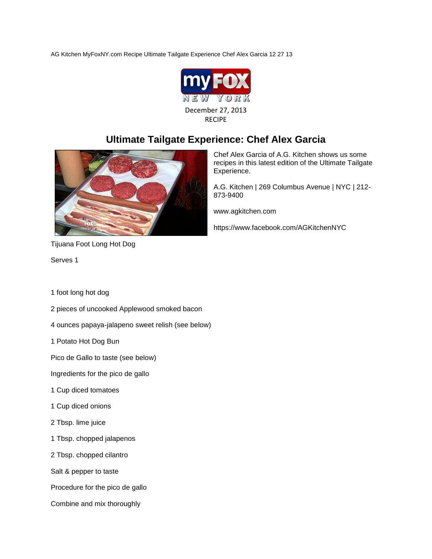AG Kitchen MyFoxNY.com Recipe Ultimate Tailgate Experience Chef Alex Garcia 12 27 13



## **Ultimate Tailgate Experience: Chef Alex Garcia**



Tijuana Foot Long Hot Dog

Serves 1

1 foot long hot dog

- 2 pieces of uncooked Applewood smoked bacon
- 4 ounces papaya-jalapeno sweet relish (see below)
- 1 Potato Hot Dog Bun

Pico de Gallo to taste (see below)

Ingredients for the pico de gallo

- 1 Cup diced tomatoes
- 1 Cup diced onions
- 2 Tbsp. lime juice
- 1 Tbsp. chopped jalapenos
- 2 Tbsp. chopped cilantro

Salt & pepper to taste

Procedure for the pico de gallo

Combine and mix thoroughly

Chef Alex Garcia of A.G. Kitchen shows us some recipes in this latest edition of the Ultimate Tailgate Experience.

A.G. Kitchen | 269 Columbus Avenue | NYC | 212- 873-9400

www.agkitchen.com

https://www.facebook.com/AGKitchenNYC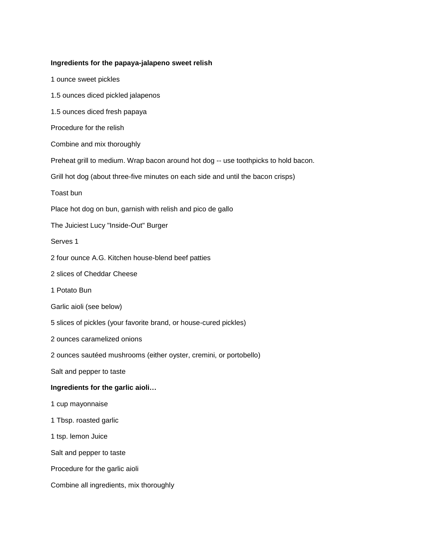## **Ingredients for the papaya-jalapeno sweet relish**

1 ounce sweet pickles 1.5 ounces diced pickled jalapenos 1.5 ounces diced fresh papaya Procedure for the relish Combine and mix thoroughly Preheat grill to medium. Wrap bacon around hot dog -- use toothpicks to hold bacon. Grill hot dog (about three-five minutes on each side and until the bacon crisps) Toast bun Place hot dog on bun, garnish with relish and pico de gallo The Juiciest Lucy "Inside-Out" Burger Serves 1 2 four ounce A.G. Kitchen house-blend beef patties 2 slices of Cheddar Cheese 1 Potato Bun Garlic aioli (see below) 5 slices of pickles (your favorite brand, or house-cured pickles) 2 ounces caramelized onions 2 ounces sautéed mushrooms (either oyster, cremini, or portobello) Salt and pepper to taste **Ingredients for the garlic aioli…** 1 cup mayonnaise 1 Tbsp. roasted garlic 1 tsp. lemon Juice Salt and pepper to taste Procedure for the garlic aioli Combine all ingredients, mix thoroughly